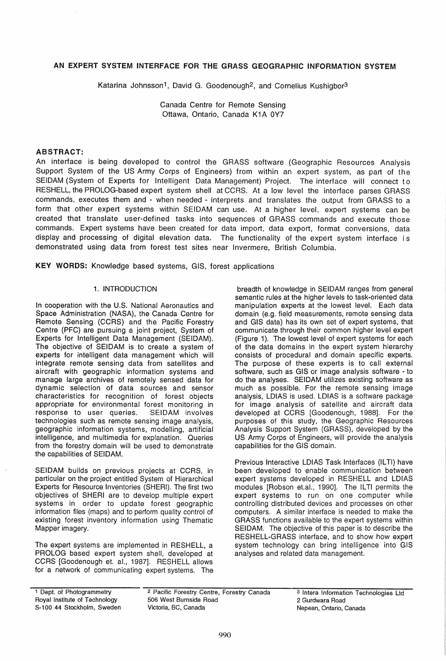# AN EXPERT SYSTEM INTERFACE FOR THE GRASS GEOGRAPHIC INFORMATION SYSTEM

Katarina Johnsson<sup>1</sup>, David G. Goodenough<sup>2</sup>, and Cornelius Kushigbor<sup>3</sup>

Canada Centre for Remote Sensing Ottawa, Ontario, Canada K1A 0Y7

# ABSTRACT:

An interface is being developed to control the GRASS software (Geographic Resources Analysis Support System of the US Army Corps of Engineers) from within an expert system, as part of the SEIDAM (System of Experts for Intelligent Data Management) Project. The interface will connect to RESHELL, the PROLOG-based expert system shell at CCRS. At a low level the interface parses GRASS commands, executes them and - when needed - interprets and translates the output from GRASS to a form that other expert systems within SEIDAM can use. At a higher level, expert systems can be created that translate user-defined tasks into sequences of GRASS commands and execute those commands. Expert systems have been created for data import, data export, format conversions, data display and processing of digital elevation data. The functionality of the expert system interface is demonstrated using data from forest test sites near Invermere, British Columbia.

KEY WORDS: Knowledge based systems, GIS, forest applications

#### 1. INTRODUCTION

In cooperation with the U.S. National Aeronautics and Space Administration (NASA), the Canada Centre for Remote Sensing (CCRS) and the Pacific Forestry Centre (PFC) are pursuing a joint project, System of Experts for Intelligent Data Management (SEIDAM). The objective of SEIDAM is to create a system of experts for intelligent data management which will integrate remote sensing data from satellites and aircraft with geographic information systems and manage large archives of remotely sensed data for dynamic selection of data sources and sensor characteristics for recognition of forest objects appropriate for environmental forest monitoring in response to user queries. SEIDAM involves technologies such as remote sensing image analysis, geographic information systems, modelling, artificial intelligence, and multimedia for explanation. Queries from the forestry domain will be used to demonstrate the capabilities of SEIDAM.

SEIDAM builds on previous projects at CCRS, in particular on the project entitled System of Hierarchical Experts for Resource Inventories (SHERI). The first two objectives of SHERI are to develop multiple expert systems in order to update forest geographic information files (maps) and to perform quality control of existing forest inventory information using Thematic Mapper imagery.

The expert systems are implemented in RESHELL, a PROLOG based expert system shell, developed at CCRS [Goodenough et. aI., 1987]. RESHELL allows for a network of communicating expert systems. The

breadth of knowledge in SEIDAM ranges from general semantic rules at the higher levels to task-oriented data manipulation experts at the lowest level. Each data domain (e.g. field measurements, remote sensing data and GIS data) has its own set of expert systems, that communicate through their common higher level expert (Figure 1). The lowest level of expert systems for each of the data domains in the expert system hierarchy consists of procedural and domain specific experts. The purpose of these experts is to call external software, such as GIS or image analysis software - to do the analyses. SEIDAM utilizes existing software as much as possible. For the remote sensing image analysis, LDIAS is used. LDIAS is a software package for image analysis of satellite and aircraft data developed at CCRS [Goodenough, 1988]. For the purposes of this study, the Geographic Resources Analysis Support System (GRASS), developed by the US Army Corps of Engineers, will provide the analysis capabilities for the GIS domain.

Previous Interactive LDIAS Task Interfaces (ILTI) have been developed to enable communication between expert systems developed in RESHELL and LDIAS modules [Robson et.al., 1990]. The ILTI permits the expert systems to run on one computer while controlling distributed devices and processes on other computers. A similar interface is needed to make the GRASS functions available to the expert systems within SEIDAM. The objective of this paper is to describe the RESHELL-GRASS interface, and to show how expert system technology can bring intelligence into GIS analyses and related data management.

<sup>1</sup> Dept. of Photogrammetry Royal Institute of Technology S-100 44 Stockholm, Sweden 2 Pacific Forestry Centre, Forestry Canada 506 West Burnside Road Victoria, BC, Canada Nepean, Ontario, Canada

3 Intera Information Technologies Ltd 2 Gurdwara Road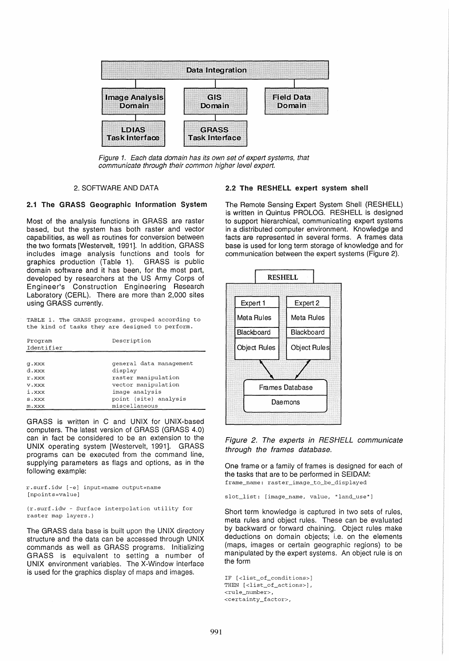

Figure 1. Each data domain has its own set of expert systems, that communicate through their common higher level expert.

#### 2. SOFTWARE AND DATA

# 2.1 The GRASS Geographic Information System

Most of the analysis functions in GRASS are raster based, but the system has both raster and vector capabilities, as well as routines for conversion between the two formats [Westervelt, 1991]. In addition, GRASS includes image analysis functions and tools for graphics production (Table 1). GRASS is public domain software and it has been, for the most part, developed by researchers at the US Army Corps of Engineer's Construction Engineering Research Laboratory (CERL). There are more than 2,000 sites using GRASS currently.

TABLE 1. The GRASS programs, grouped according to the kind of tasks they are designed to perform.

| Program<br>Identifier | Description             |
|-----------------------|-------------------------|
|                       |                         |
| <b>a.xxx</b>          | general data management |
| d.xxx                 | display                 |
| r.xxx                 | raster manipulation     |
| v.xxx                 | vector manipulation     |
| i.xxx                 | image analysis          |
| s.xxx                 | point (site) analysis   |
| m.xxx                 | miscellaneous           |

GRASS is written in C and UNIX for UNIX-based computers. The latest version of GRASS (GRASS 4.0) can in fact be considered to be an extension to the UNIX operating system [Westervelt, 1991]. GRASS programs can be executed from the command line, supplying parameters as flags and options, as in the following example:

r.surf.idw [-e] input=name output=name [npoints=value]

(r.surf.idw - Surface interpolation utility for raster map layers.)

The GRASS data base is built upon the UNIX directory structure and the data can be accessed through UNIX commands as well as GRASS programs. Initializing GRASS is equivalent to setting a number of UNIX environment variables. The X-Window interface is used for the graphics display of maps and images.

### 2.2 The RESHELL expert system shell

The Remote Sensing Expert System Shell (RESHELL) is written in Quintus PROLOG. RESHELL is designed to support hierarchical, communicating expert systems in a distributed computer environment. Knowledge and facts are represented in several forms. A frames data base is used for long term storage of knowledge and for communication between the expert systems (Figure 2).



Figure 2. The experts in RESHELL communicate through the frames database.

One frame or a family of frames is designed for each of the tasks that are to be performed in SEIDAM: frame\_name: raster\_image\_to\_be\_displayed

slot\_list: [image\_name, value, "land\_use"]

Short term knowledge is captured in two sets of rules, meta rules and object rules. These can be evaluated by backward or forward chaining. Object rules make deductions on domain objects; i.e. on the elements (maps, images or certain geographic regions) to be manipulated by the expert systems. An object rule is on the form

```
IF [<list_of_conditions>] 
THEN [<list_of_actions>], 
<rule_number>, 
<certainty_factor>,
```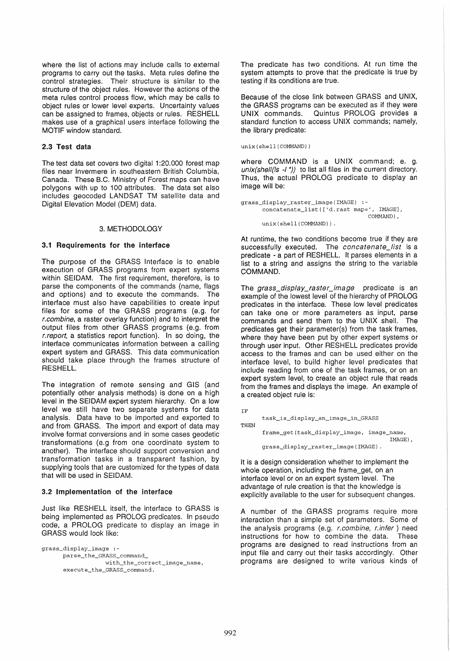where the list of actions may include calls to external programs to carry out the tasks. Meta rules define the control strategies. Their structure is similar to the structure of the object rules. However the actions of the meta rules control process flow, which may be calls to object rules or lower level experts. Uncertainty values can be assigned to frames, objects or rules. RESHELL makes use of a graphical users interface following the MOTIF window standard.

### 2.3 Test data

The test data set covers two digital 1:20.000 forest map files near Invermere in southeastern British Columbia, Canada. These B.C. Ministry of Forest maps can have polygons with up to 100 attributes. The data set also includes geocoded LANDSAT TM satellite data and Digital Elevation Model (OEM) data.

# 3. METHODOLOGY

# 3.1 Requirements for the interface

The purpose of the GRASS Interface is to enable execution of GRASS programs from expert systems within SEIDAM. The first requirement, therefore, is to parse the components of the commands (name, flags and options) and to execute the commands. The interface must also have capabilities to create input files for some of the GRASS programs (e.g. for r.combine, a raster overlay function) and to interpret the output files from other GRASS programs (e.g. from r.report, a statistics report function). In so doing, the interface communicates information between a calling expert system and GRASS. This data communication should take place through the frames structure of RESHELL.

The integration of remote sensing and GIS (and potentially other analysis methods) is done on a high level in the SEIDAM expert system hierarchy. On a low level we still have two separate systems for data analysis. Data have to be imported and exported to and from GRASS. The import and export of data may involve format conversions and in some cases geodetic transformations (e.g from one coordinate system to another). The interface should support conversion and transformation tasks in a transparent fashion, by supplying tools that are customized for the types of data that will be used in SEIDAM.

### 3.2 Implementation of the interface

Just like RESHELL itself, the interface to GRASS is being implemented as PROLOG predicates. In pseudo code, a PROLOG predicate to display an image in GRASS would look like:

grass\_display\_image : parse\_the\_GRASS\_command\_ with\_the\_correct\_image\_name, execute\_the\_GRASS\_command.

The predicate has two conditions. At run time the system attempts to prove that the predicate is true by testing if its conditions are true.

Because of the close link between GRASS and UNIX, the GRASS programs can be executed as if they were UNIX commands. Quintus PROLOG provides a standard function to access UNIX commands; namely, the library predicate:

#### unix(shell(COMMAND))

where COMMAND is a UNIX command; e. g.  $unix(shell([s -1^*) )$  to list all files in the current directory. Thus, the actual PROLOG predicate to display an image will be:

```
grass_display_raster_image(IMAGE) 
      concatenate_list(['d.rast map=', IMAGE], 
                                     COMMAND) , 
      unix(shell(COMMAND)) .
```
At runtime, the two conditions become true if they are successfully executed. The concatenate\_list is a predicate - a part of RESHELL. It parses elements in a list to a string and assigns the string to the variable COMMAND.

The grass\_display\_raster\_image predicate is an example of the lowest level of the hierarchy of PROLOG predicates in the interface. These low level predicates can take one or more parameters as input, parse commands and send them to the UNIX shell. The predicates get their parameter(s) from the task frames, where they have been put by other expert systems or through user input. Other RESHELL predicates provide access to the frames and can be used either on the interface level, to build higher level predicates that include reading from one of the task frames, or on an expert system level, to create an object rule that reads from the frames and displays the image. An example of a created object rule is:

```
IF 
      task_is_display_an_image_in_GRASS
THEN
      frame_get (task_display_image, image_name, 
                                              IMAGE) , 
      grass_display_raster_image(IMAGE) .
```
It is a design consideration whether to implement the whole operation, including the frame\_get, on an interface level or on an expert system level. The advantage of rule creation is that the knowledge is explicitly available to the user for subsequent changes.

A number of the GRASS programs require more interaction than a simple set of parameters. Some of the analysis programs (e.g. r.combine, r.infer) need instructions for how to combine the data. These programs are designed to read instructions from an input file and carry out their tasks accordingly. Other programs are designed to write various kinds of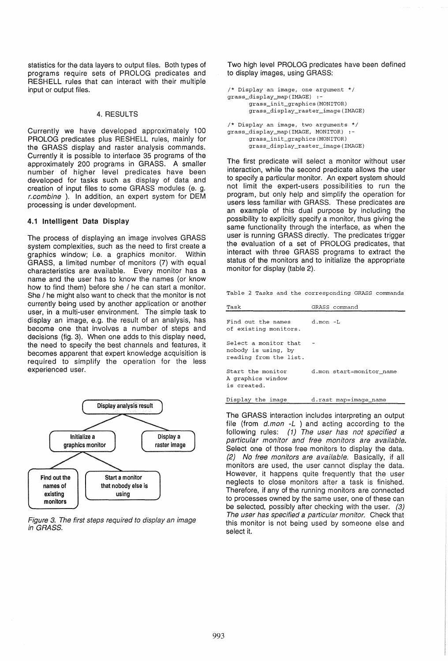statistics for the data layers to output files. Both types of programs require sets of PROLOG predicates and RESHELL rules that can interact with their multiple input or output files.

#### 4. RESULTS

Currently we have developed approximately 100 PROLOG predicates plus RESHELL rules, mainly for the GRASS display and raster analysis commands. Currently it is possible to interface 35 programs of the approximately 200 programs in GRASS. A smaller number of higher level predicates have been developed for tasks such as display of data and creation of input files to some GRASS modules (e. g. r.combine ). In addition, an expert system for OEM processing is under development.

### 4.1 Intelligent Data Display

The process of displaying an image involves GRASS system complexities, such as the need to first create a graphics window; i.e. a graphics monitor. Within GRASS, a limited number of monitors (7) with equal characteristics are available. Every monitor has a name and the user has to know the names (or know how to find them) before she / he can start a monitor. She / he might also want to check that the monitor is not currently being used by another application or another user, in a multi-user environment. The simple task to display an image, e.g. the result of an analysis, has become one that involves a number of steps and decisions (fig. 3). When one adds to this display need, the need to specify the best channels and features, it becomes apparent that expert knowledge acquisition is required to simplify the operation for the less experienced user.



Figure 3. The first steps required to display an image in GRASS.

Two high level PROLOG predicates have been defined to display images, using GRASS:

```
/* Display an image, one argument */ 
grass_display_map(IMAGE) :-
      grass_init_graphics(MONITOR) 
      grass_display_raster_image(IMAGE)
```

```
/* Display an image, two arguments */ 
grass_display_map(IMAGE, MONITOR) :-
      grass_init_graphics(MONITOR) 
      grass_display_raster_image(IMAGE)
```
The first predicate will select a monitor without user interaction, while the second predicate allows the user to specify a particular monitor. An expert system should not limit the expert-users possibilities to run the program, but only help and simplify the operation for users less familiar with GRASS. These predicates are an example of this dual purpose by including the possibility to explicitly specify a monitor, thus giving the same functionality through the interface, as when the user is running GRASS directly. The predicates trigger the evaluation of a set of PROLOG predicates, that interact with three GRASS programs to extract the status of the monitors and to initialize the appropriate monitor for display (table 2).

Table 2 Tasks and the corresponding GRASS commands

| Task                                                                   | GRASS command            |
|------------------------------------------------------------------------|--------------------------|
| Find out the names<br>of existing monitors.                            | d.mon -L                 |
| Select a monitor that<br>nobody is using, by<br>reading from the list. |                          |
| Start the monitor<br>A graphics window<br>is created.                  | d.mon start=monitor name |
| Display the image                                                      | d.rast map=image name    |

The GRASS interaction includes interpreting an output file (from  $d.mon -L$  ) and acting according to the following rules: (1) The user has not specified a particular monitor and free monitors are available. Select one of those free monitors to display the data. (2) No free monitors are available. Basically, if all monitors are used, the user cannot display the data. However, it happens quite frequently that the user neglects to close monitors after a task is finished. Therefore, if any of the running monitors are connected to processes owned by the same user, one of these can be selected, possibly after checking with the user. (3) The user has specified a particular monitor. Check that this monitor is not being used by someone else and select it.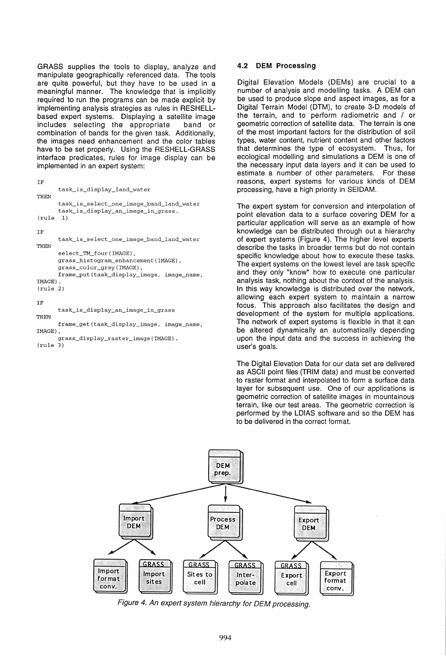GRASS supplies the tools to display, analyze and manipulate geographically referenced data. The tools are quite powerful, but they have to be used in a meaningful manner. The knowledge that is implicitly required to run the programs can be made explicit by implementing analysis strategies as rules in RESHELL· based expert systems. Displaying a satellite image includes selecting the appropriate band or combination of bands for the given task. Additionally, the images need enhancement and the color tables have to be set properly. Using the RESHELL-GRASS interface predicates, rules for image display can be implemented in an expert system:

```
IF 
      task_is_display_land_water
THEN 
      task_is_select_one_image_band_land_water 
      task_is_display_an_image_in_grass. 
(rule 1) 
IF 
THEN
```
task\_is\_select\_one\_image\_band\_land\_water select\_TM\_four(IMAGE), grass\_histogram\_enhancement(IMAGE), grass\_color\_grey(IMAGE),

frame-put(task\_display\_image, image\_name, IMAGE)

```
(rule 2)
```

```
IF
```
task\_is\_display\_an\_image\_in\_grass **THEN** 

frame\_get (task\_display\_image, image\_name, IMAGE) ,

```
grass_display_raster_image(IMAGE) . 
(rule 3)
```
# 4.2 DEM Processing

Digital Elevation Models (DEMs) are crucial to a number of analysis and modelling tasks. A DEM can be used to produce slope and aspect images, as for a Digital Terrain Model (DTM), to create 3-D models of the terrain, and to perform radiometric and / or geometric correction of satellite data. The terrain is one of the most important factors for the distribution of soil types, water content, nutrient content and other factors that determines the type of ecosystem. Thus, for ecological modelling and simulations a DEM is one of the necessary input data layers and it can be used to estimate a number of other parameters. For these reasons, expert systems for various kinds of DEM processing, have a high priority in SEIDAM.

The expert system for conversion and interpolation of point elevation data to a surface covering DEM for a particular application will serve as an example of how knowledge can be distributed through out a hierarchy of expert systems (Figure 4). The higher level experts describe the tasks in broader terms but do not contain specific knowledge about how to execute these tasks. The expert systems on the lowest level are task specific and they only "know" how to execute one particular analysis task, nothing about the context of the analysis. In this way knowledge is distributed over the network, allowing each expert system to maintain a narrow focus. This approach also facilitates the design and development of the system for multiple applications. The network of expert systems is flexible in that it can be altered dynamically an automatically depending upon the input data and the success in achieving the user's goals.

The Digital Elevation Data for our data set are delivered as ASCII point files (TRIM data) and must be converted to raster format and interpolated to form a surface data layer for subsequent use. One of our applications is geometric correction of satellite images in mountainous terrain, like our test areas. The geometric correction is performed by the LDIAS software and so the DEM has to be delivered in the correct format.



Figure 4. An expert system hierarchy for OEM processing.